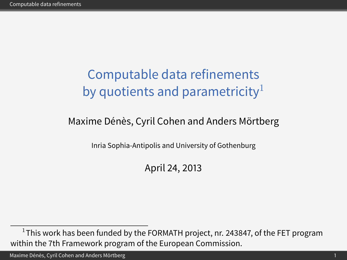# Computable data refinements by quotients and parametricity $1$

#### Maxime Dénès, Cyril Cohen and Anders Mörtberg

Inria Sophia-Antipolis and University of Gothenburg

<span id="page-0-0"></span>April 24, 2013

Maxime Dénès, Cyril Cohen and Anders Mörtberg 1

 $^{1}$ This work has been funded by the FORMATH project, nr. 243847, of the FET program within the 7th Framework program of the European Commission.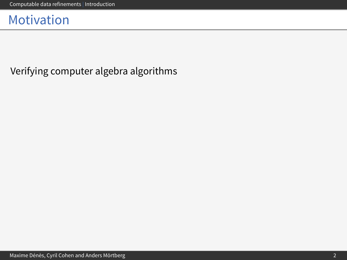<span id="page-1-0"></span>Verifying computer algebra algorithms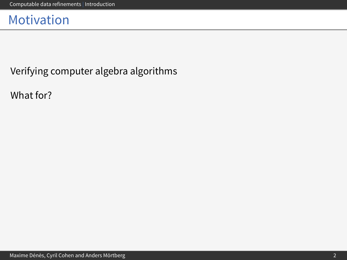Verifying computer algebra algorithms

What for?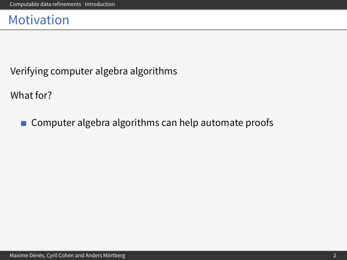Verifying computer algebra algorithms

What for?

Computer algebra algorithms can help automate proofs  $\mathcal{L}_{\mathcal{A}}$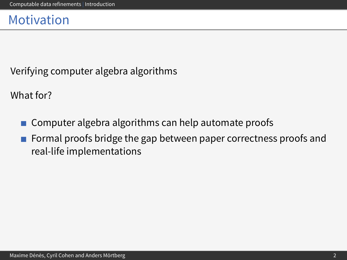Verifying computer algebra algorithms

What for?

- Computer algebra algorithms can help automate proofs  $\mathcal{L}_{\mathcal{A}}$
- Formal proofs bridge the gap between paper correctness proofs and real-life implementations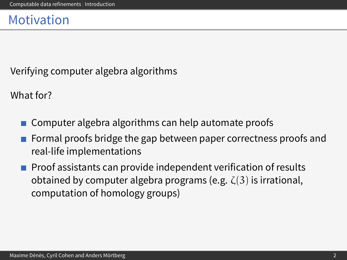Verifying computer algebra algorithms

What for?

- Computer algebra algorithms can help automate proofs
- Formal proofs bridge the gap between paper correctness proofs and real-life implementations
- **Proof assistants can provide independent verification of results** obtained by computer algebra programs (e.g.  $\zeta(3)$  is irrational, computation of homology groups)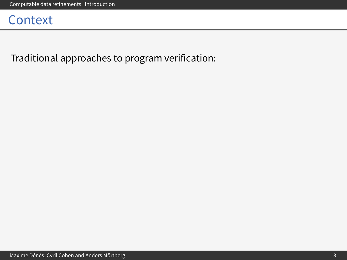Traditional approaches to program verification: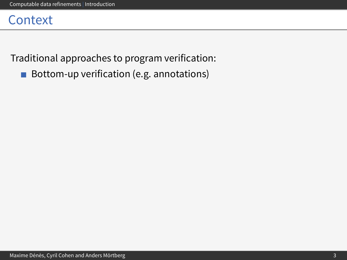Traditional approaches to program verification:

Bottom-up verification (e.g. annotations)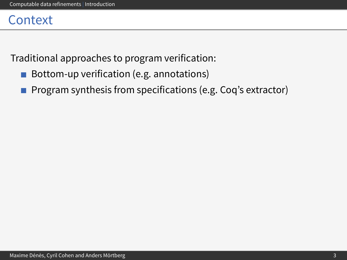Traditional approaches to program verification:

- Bottom-up verification (e.g. annotations)  $\sim$
- Program synthesis from specifications (e.g. Coq's extractor)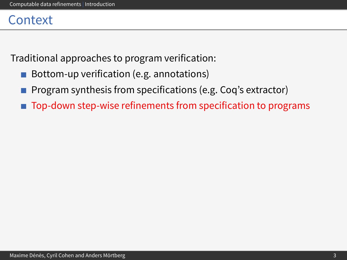Traditional approaches to program verification:

- Bottom-up verification (e.g. annotations)  $\mathcal{L}_{\mathcal{A}}$
- Program synthesis from specifications (e.g. Coq's extractor)
- Top-down step-wise refinements from specification to programs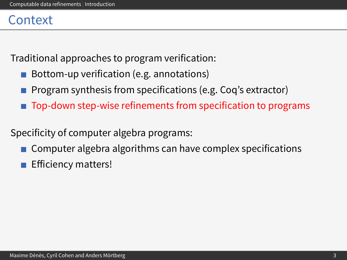Traditional approaches to program verification:

- Bottom-up verification (e.g. annotations)
- Program synthesis from specifications (e.g. Coq's extractor)
- Top-down step-wise refinements from specification to programs

Specificity of computer algebra programs:

- Computer algebra algorithms can have complex specifications
- Efficiency matters!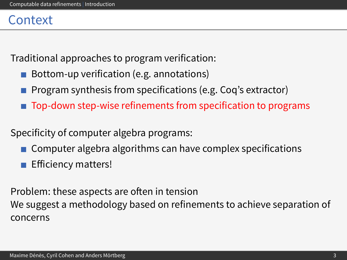Traditional approaches to program verification:

- Bottom-up verification (e.g. annotations)
- Program synthesis from specifications (e.g. Coq's extractor)
- Top-down step-wise refinements from specification to programs

Specificity of computer algebra programs:

- Computer algebra algorithms can have complex specifications
- Efficiency matters!

Problem: these aspects are often in tension We suggest a methodology based on refinements to achieve separation of concerns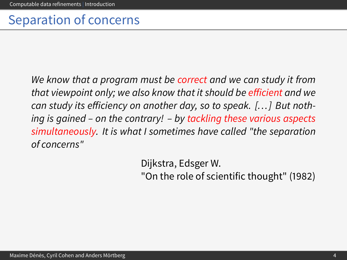### Separation of concerns

We know that a program must be correct and we can study it from that viewpoint only; we also know that it should be efficient and we can study its efficiency on another day, so to speak.  $[...]$  But nothing is gained – on the contrary! – by tackling these various aspects simultaneously. It is what I sometimes have called "the separation of concerns"

Dijkstra, Edsger W.

"On the role of scientific thought" (1982)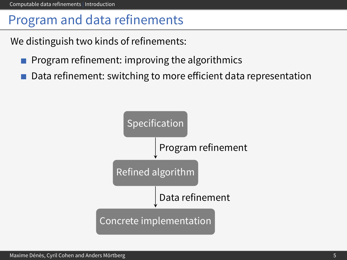# Program and data refinements

We distinguish two kinds of refinements:

- **Program refinement: improving the algorithmics**
- Data refinement: switching to more efficient data representation

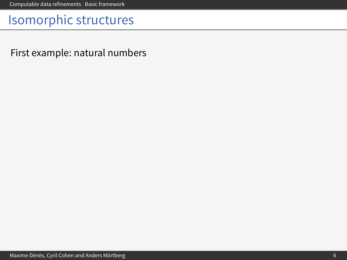<span id="page-14-0"></span>First example: natural numbers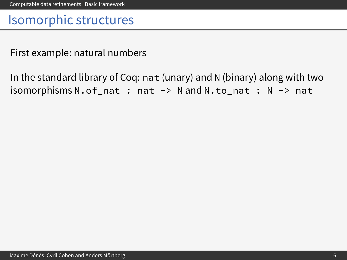First example: natural numbers

In the standard library of Coq: nat (unary) and N (binary) along with two isomorphisms N.of\_nat : nat -> N and N.to\_nat : N -> nat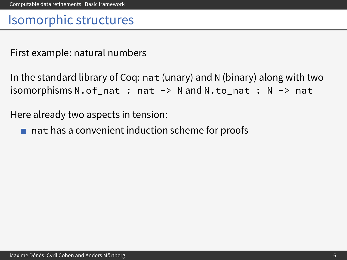First example: natural numbers

```
In the standard library of Coq: nat (unary) and N (binary) along with two
isomorphism sN. of_nat : nat -> N and N.to_nat : N -> nat
```
Here already two aspects in tension:

 $\blacksquare$  nat has a convenient induction scheme for proofs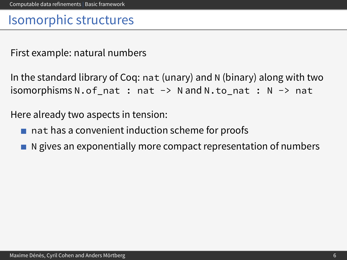First example: natural numbers

```
In the standard library of Coq: nat (unary) and N (binary) along with two
isomorphisms N.of_nat : nat -> N and N.to_nat : N -> nat
```
Here already two aspects in tension:

- $\blacksquare$  nat has a convenient induction scheme for proofs
- N gives an exponentially more compact representation of numbers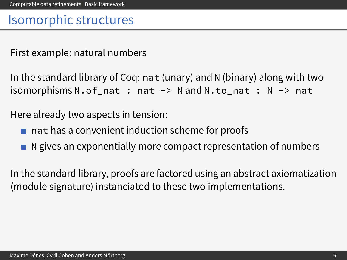First example: natural numbers

In the standard library of Coq: nat (unary) and N (binary) along with two isomorphisms N.of\_nat : nat -> N and N.to\_nat : N -> nat

Here already two aspects in tension:

- $\blacksquare$  nat has a convenient induction scheme for proofs
- $\blacksquare$  N gives an exponentially more compact representation of numbers

In the standard library, proofs are factored using an abstract axiomatization (module signature) instanciated to these two implementations.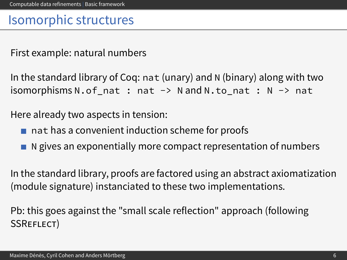First example: natural numbers

In the standard library of Coq: nat (unary) and N (binary) along with two  $isomorphism sN. of_nat : nat -> N and N.to_nat : N -> nat$ 

Here already two aspects in tension:

- $\blacksquare$  nat has a convenient induction scheme for proofs
- $\blacksquare$  N gives an exponentially more compact representation of numbers

In the standard library, proofs are factored using an abstract axiomatization (module signature) instanciated to these two implementations.

Pb: this goes against the "small scale reflection" approach (following SSREFLECT)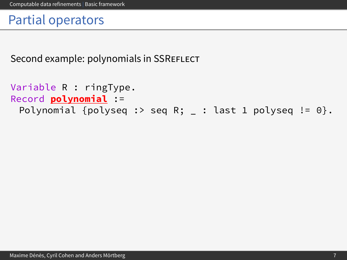Second example: polynomials in SSREFLECT

```
Variable R : ringType.
Record polynomial :=
 Polynomial {polyseq :> seq R; \_ : last 1 polyseq != 0}.
```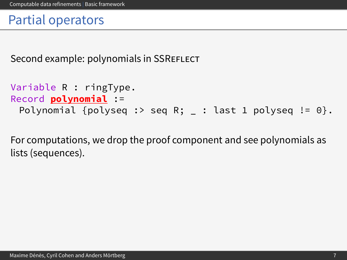Second example: polynomials in SSREFLECT

```
Variable R : ringType.
Record polynomial :=
 Polynomial {polyseq :> seq R; _ : last 1 polyseq != 0}.
```
For computations, we drop the proof component and see polynomials as lists (sequences).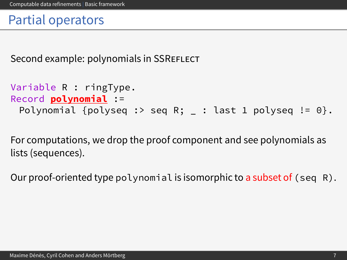Second example: polynomials in SSREFLECT

```
Variable R : ringType.
Record polynomial :=
 Polynomial {polyseq :> seq R; : last 1 polyseq != 0}.
```
For computations, we drop the proof component and see polynomials as lists (sequences).

Our proof-oriented type polynomial is isomorphic to a subset of  $(\text{seq } R)$ .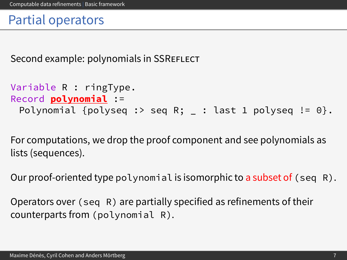Second example: polynomials in SSREFLECT

```
Variable R : ringType.
Record polynomial :=
 Polynomial {polyseq :> seq R; : last 1 polyseq != 0}.
```
For computations, we drop the proof component and see polynomials as lists (sequences).

Our proof-oriented type polynomial is isomorphic to a subset of  $(\text{seq } R)$ .

Operators over (seq R) are partially specified as refinements of their counterparts from (polynomial R).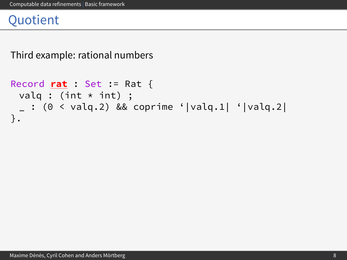Third example: rational numbers

```
Record rat : Set := Rat {
 valq : (int \star int) ;
 \sim : (0 < valq.2) && coprime '|valq.1| '|valq.2|
}.
```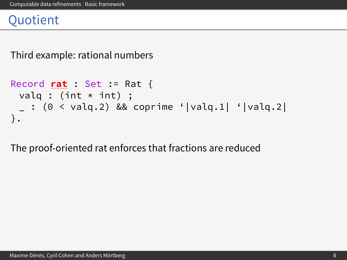Third example: rational numbers

```
Record rat : Set := Rat {
 valq : (int \star int) ;
    : (0 \lt valueval q.2) && coprime '|valq.1| '|valq.2|
}.
```
The proof-oriented rat enforces that fractions are reduced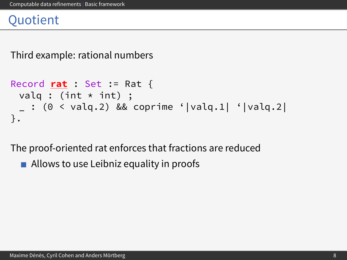Third example: rational numbers

```
Record rat : Set := Rat {
 valq : (int \star int) ;
    : (0 \lt value \times 2) && coprime '|valq.1| '|valq.2|
}.
```
The proof-oriented rat enforces that fractions are reduced

 $\blacksquare$  Allows to use Leibniz equality in proofs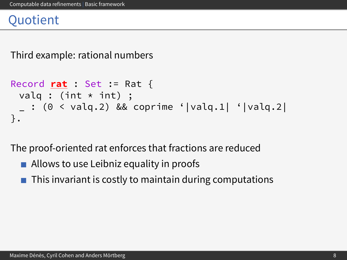Third example: rational numbers

```
Record rat : Set := Rat {
 valq : (int \star int) ;
    : (0 \le valq.2) && coprime '|valq.1| '|valq.2|
}.
```
The proof-oriented rat enforces that fractions are reduced

- $\blacksquare$  Allows to use Leibniz equality in proofs
- This invariant is costly to maintain during computations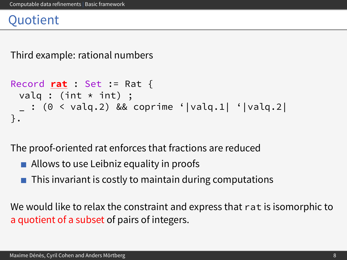#### **Ouotient**

Third example: rational numbers

```
Record rat : Set := Rat {
 valq : (int \star int) ;
    : (0 \lt value \times 2) && coprime '|valq.1| '|valq.2|
}.
```
The proof-oriented rat enforces that fractions are reduced

- $\blacksquare$  Allows to use Leibniz equality in proofs
- This invariant is costly to maintain during computations

We would like to relax the constraint and express that rat is isomorphic to a quotient of a subset of pairs of integers.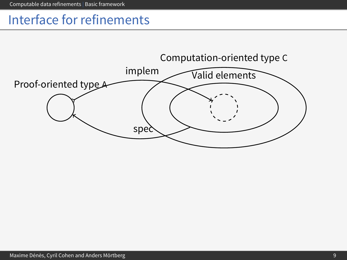### Interface for refinements

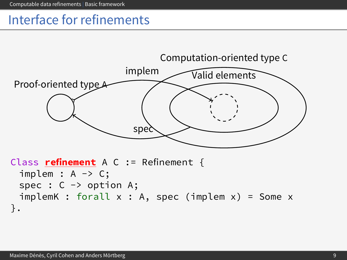### Interface for refinements

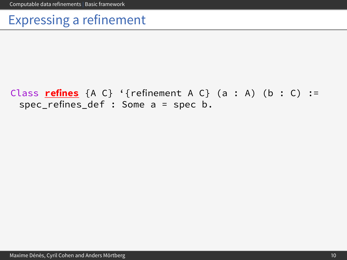### Expressing a refinement

#### Class **refines**  $\{A \ C\}$  '{refinement A  $C$ } (a : A) (b : C) := spec\_refines\_def : Some a = spec b.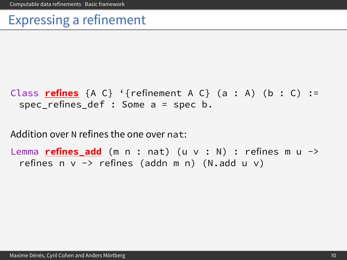### Expressing a refinement

```
Class refines \{A \ C\} '{refinement A \ C\} (a : A) (b : C) :=
 spec refines def : Some a = spec b.
```
Addition over N refines the one over nat:

Lemma **refines\_add** (m n : nat) (u v : N) : refines m u -> refines n  $v \rightarrow$  refines (addn m n) (N.add u v)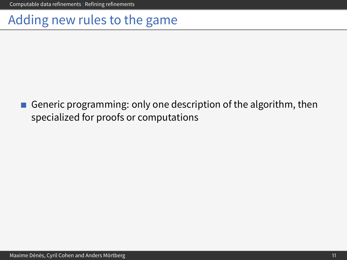[Computable data refinements](#page-0-0) | [Refining refinements](#page-33-0)

#### Adding new rules to the game

<span id="page-33-0"></span>Generic programming: only one description of the algorithm, then  $\mathcal{L}_{\mathcal{A}}$ specialized for proofs or computations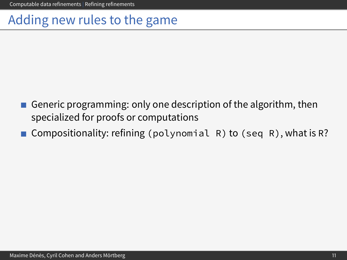# Adding new rules to the game

- Generic programming: only one description of the algorithm, then specialized for proofs or computations
- Compositionality: refining (polynomial R) to (seq R), what is R?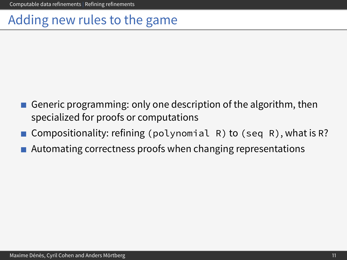# Adding new rules to the game

- Generic programming: only one description of the algorithm, then specialized for proofs or computations
- Compositionality: refining (polynomial R) to (seq R), what is R?
- Automating correctness proofs when changing representations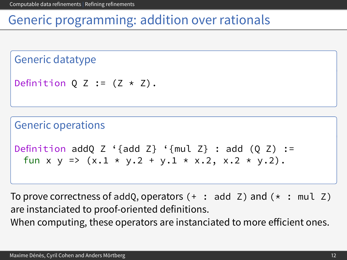#### Generic programming: addition over rationals

Generic datatype

```
Definition Q Z := (Z * Z).
```
Generic operations

```
Definition addQ Z '{add Z} '{mul Z} : add (Q Z) :=
 fun x y => (x.1 \times y.2 + y.1 \times x.2, x.2 \times y.2).
```
To prove correctness of addQ, operators  $(+ : add Z)$  and  $(* : mult Z)$ are instanciated to proof-oriented definitions. When computing, these operators are instanciated to more efficient ones.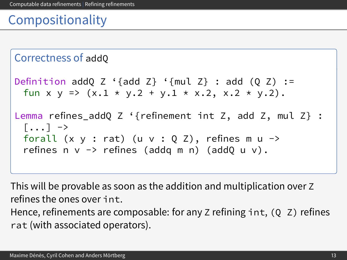# Compositionality

```
Correctness of addQ
Definition addQ Z '{add Z} '{mul Z} : add (Q Z) :=
  fun x y => (x.1 \times y.2 + y.1 \times x.2, x.2 \times y.2).
Lemma refines_addQ Z '{refinement int Z, add Z, mul Z} :
  \lceil...] \rightarrowforall (x \ y : rat) (u \ v : Q Z), refines m u \rightarrowrefines n \vee \neg refines (addq m n) (addQ u \nu).
```
This will be provable as soon as the addition and multiplication over Z refines the ones over int. Hence, refinements are composable: for any Z refining  $int$ ,  $(Q \, Z)$  refines rat (with associated operators).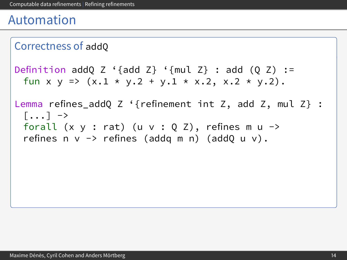```
Correctness of addQ
Definition addQ Z '{add Z} '{mul Z} : add (Q Z) :=
  fun x y => (x.1 \times y.2 + y.1 \times x.2, x.2 \times y.2).
Lemma refines_addQ Z '{refinement int Z, add Z, mul Z} :
  [\ldots] \rightarrowforall (x \ y : rat) (u \ v : Q Z), refines m u \rightarrowrefines n v \rightarrow refines (addq m n) (addQ u v).
```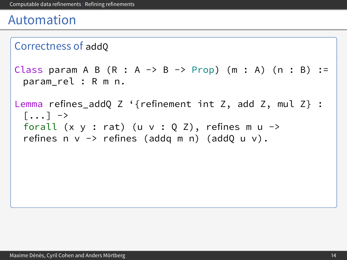```
Correctness of addQ
Class param A B (R : A \rightarrow B \rightarrow Prop) (m : A) (n : B) :=
  param_rel : R m n.
Lemma refines_addQ Z '{refinement int Z, add Z, mul Z} :
  \lceil...] \rightarrowforall (x \ y : rat) (u \ v : Q Z), refines m u \rightarrowrefines n v \rightarrow refines (addq m n) (addQ u v).
```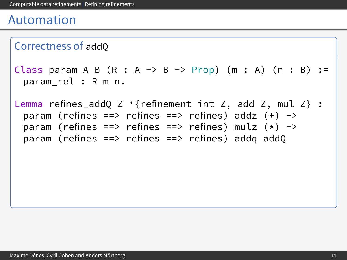```
Correctness of addQ
```

```
Class param A B (R : A \rightarrow B \rightarrow Prop) (m : A) (n : B) :=param_rel : R m n.
```
Lemma refines\_addQ Z '{refinement int Z, add Z, mul Z} : param (refines ==> refines ==> refines) addz  $(+)$  -> param (refines ==> refines ==> refines) mulz (\*) -> param (refines ==> refines ==> refines) addq addQ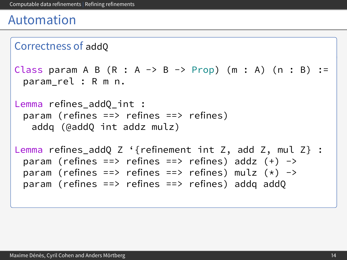```
Correctness of addQ
Class param A B (R : A \rightarrow B \rightarrow Prop) (m : A) (n : B) :=param_rel : R m n.
Lemma refines addQ int :
 param (refines ==> refines ==> refines)
   addq (@addQ int addz mulz)
Lemma refines addQ Z '{refinement int Z, add Z, mul Z} :
 param (refines ==> refines ==> refines) addz (+) ->
 param (refines ==> refines ==> refines) mulz (*) ->
 param (refines ==> refines ==> refines) addq addQ
```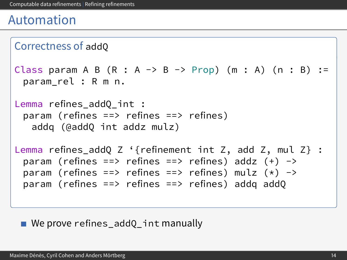```
Correctness of addQ
Class param A B (R : A \rightarrow B \rightarrow Prop) (m : A) (n : B) :=param_rel : R m n.
Lemma refines addQ int :
 param (refines ==> refines ==> refines)
   addq (@addQ int addz mulz)
Lemma refines addQ Z '{refinement int Z, add Z, mul Z} :
 param (refines ==> refines ==> refines) addz (+) ->
 param (refines ==> refines ==> refines) mulz (*) ->
 param (refines ==> refines ==> refines) addq addQ
```
We prove refines addQ int manually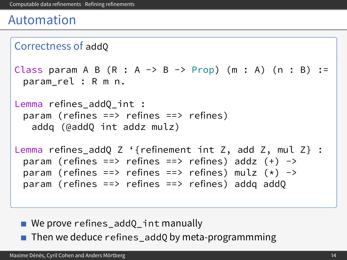```
Correctness of addQ
Class param A B (R : A \rightarrow B \rightarrow Prop) (m : A) (n : B) :=param_rel : R m n.
Lemma refines addQ int :
 param (refines ==> refines ==> refines)
   addq (@addQ int addz mulz)
Lemma refines addQ Z '{refinement int Z, add Z, mul Z} :
 param (refines ==> refines ==> refines) addz (+) ->
 param (refines ==> refines ==> refines) mulz (*) ->
 param (refines ==> refines ==> refines) addq addQ
```
We prove refines addQ int manually

■ Then we deduce refines\_addQ by meta-programmming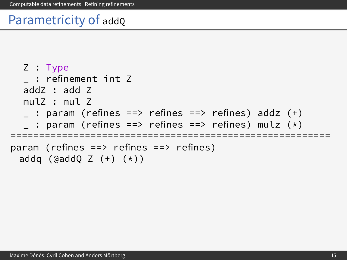```
Z : Type
     _ : refinement int Z
  addZ : add Z
  mulZ : mulZ\overline{\phantom{a}} : param (refines ==> refines ==> refines) addz (+)
  \therefore param (refines ==> refines ==> refines) mulz (*)========================================================
param (refines ==> refines ==> refines)
 addq (\text{QaddQ } Z (+) (\star))
```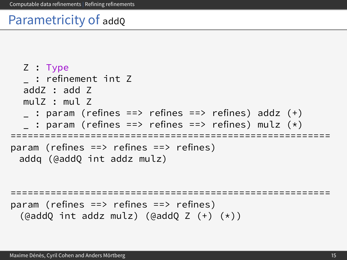```
Z : Type
  _ : refinement int Z
  addZ : add Z
  mulZ : mulZ_ : param (refines ==> refines ==> refines) addz (+)
  : param (refines ==> refines ==> refines) mulz (*)========================================================
param (refines ==> refines ==> refines)
 addq (@addQ int addz mulz)
========================================================
param (refines ==> refines ==> refines)
 (@addQ int addz mulz) (@addQ Z (+) (*))
```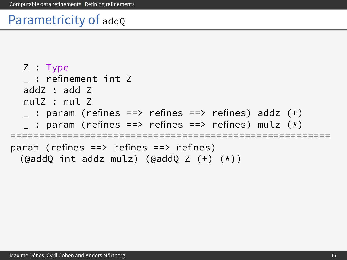```
Z : Type
    _ : refinement int Z
  addZ : add Z
  mulZ : mulZ_ : param (refines ==> refines ==> refines) addz (+)
  : param (refines ==> refines ==> refines) mulz (*)========================================================
param (refines ==> refines ==> refines)
 (\text{QaddQ int addz mulz}) (\text{QaddQ Z (+) (*))})
```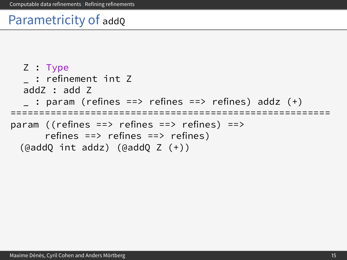```
Z : Type
  _ : refinement int Z
  addZ : add Z
    : param (refines ==> refines ==> refines) addz (+)========================================================
param ((refines ==> refines ==> refines) ==>
      refines ==> refines ==> refines)
 (@addQ int addz) (@addQ Z (+))
```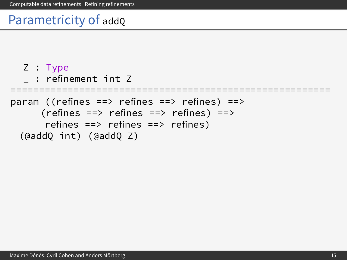```
Z : Type
  _ : refinement int Z
========================================================
param ((refines ==> refines ==> refines) ==>
     (refines == > refines == > refines) == >refines ==> refines ==> refines)
 (@addQ int) (@addQ Z)
```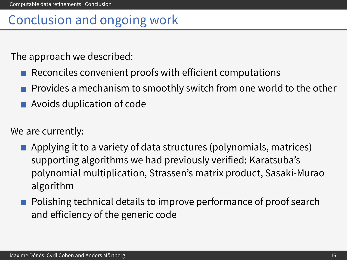### Conclusion and ongoing work

The approach we described:

- Reconciles convenient proofs with efficient computations
- **Provides a mechanism to smoothly switch from one world to the other**
- Avoids duplication of code

We are currently:

- **Applying it to a variety of data structures (polynomials, matrices)** supporting algorithms we had previously verified: Karatsuba's polynomial multiplication, Strassen's matrix product, Sasaki-Murao algorithm
- <span id="page-49-0"></span>**Polishing technical details to improve performance of proof search** and efficiency of the generic code